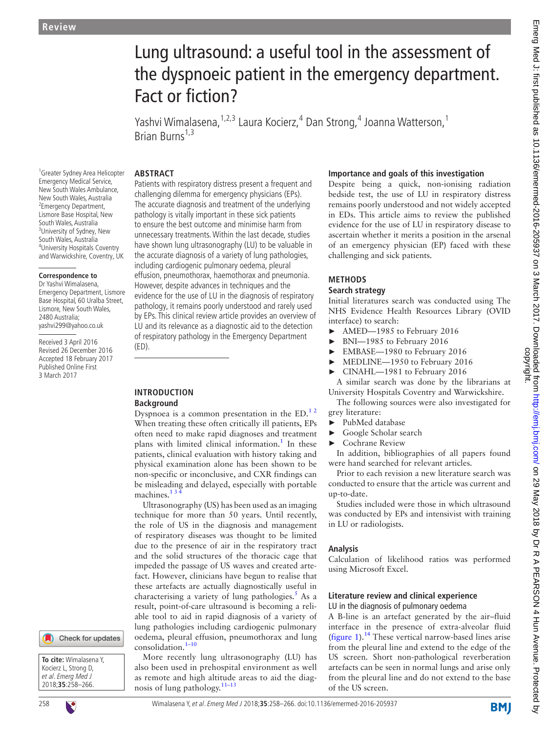# Lung ultrasound: a useful tool in the assessment of the dyspnoeic patient in the emergency department. Fact or fiction?

Yashvi Wimalasena, <sup>1,2,3</sup> Laura Kocierz, <sup>4</sup> Dan Strong, <sup>4</sup> Joanna Watterson, <sup>1</sup> Brian Burns<sup>1,3</sup>

#### **Abstract**

1 Greater Sydney Area Helicopter Emergency Medical Service, New South Wales Ambulance, New South Wales, Australia <sup>2</sup> Emergency Department, Lismore Base Hospital, New South Wales, Australia <sup>3</sup>University of Sydney, New South Wales, Australia 4 University Hospitals Coventry and Warwickshire, Coventry, UK

#### **Correspondence to**

Dr Yashvi Wimalasena, Emergency Department, Lismore Base Hospital, 60 Uralba Street, Lismore, New South Wales, 2480 Australia; yashvi299@yahoo.co.uk

Received 3 April 2016 Revised 26 December 2016 Accepted 18 February 2017 Published Online First 3 March 2017



#### **Introduction Background**

Dyspnoea is a common presentation in the ED.<sup>12</sup> When treating these often critically ill patients, EPs often need to make rapid diagnoses and treatment plans with limited clinical information.<sup>1</sup> In these patients, clinical evaluation with history taking and physical examination alone has been shown to be non-specific or inconclusive, and CXR findings can be misleading and delayed, especially with portable machines.<sup>13</sup>

Ultrasonography (US) has been used as an imaging technique for more than 50 years. Until recently, the role of US in the diagnosis and management of respiratory diseases was thought to be limited due to the presence of air in the respiratory tract and the solid structures of the thoracic cage that impeded the passage of US waves and created artefact. However, clinicians have begun to realise that these artefacts are actually diagnostically useful in characterising a variety of lung pathologies.<sup>5</sup> As a result, point-of-care ultrasound is becoming a reliable tool to aid in rapid diagnosis of a variety of lung pathologies including cardiogenic pulmonary oedema, pleural effusion, pneumothorax and lung consolidation.<sup>1-10</sup>

More recently lung ultrasonography (LU) has also been used in prehospital environment as well as remote and high altitude areas to aid the diagnosis of lung pathology.[11–13](#page-7-2)

#### **Importance and goals of this investigation**

Despite being a quick, non-ionising radiation bedside test, the use of LU in respiratory distress remains poorly understood and not widely accepted in EDs. This article aims to review the published evidence for the use of LU in respiratory disease to ascertain whether it merits a position in the arsenal of an emergency physician (EP) faced with these challenging and sick patients.

# **Methods**

# **Search strategy**

Initial literatures search was conducted using The NHS Evidence Health Resources Library (OVID interface) to search:

- ► AMED—1985 to February 2016
- ► BNI—1985 to February 2016
- ► EMBASE—1980 to February 2016
- ► MEDLINE—1950 to February 2016
- ► CINAHL—1981 to February 2016

A similar search was done by the librarians at University Hospitals Coventry and Warwickshire.

The following sources were also investigated for grey literature:

- ► PubMed database
- ► Google Scholar search
- ► Cochrane Review

In addition, bibliographies of all papers found were hand searched for relevant articles.

Prior to each revision a new literature search was conducted to ensure that the article was current and up-to-date.

Studies included were those in which ultrasound was conducted by EPs and intensivist with training in LU or radiologists.

### **Analysis**

Calculation of likelihood ratios was performed using Microsoft Excel.

#### **Literature review and clinical experience** LU in the diagnosis of pulmonary oedema

A B-line is an artefact generated by the air–fluid interface in the presence of extra-alveolar fluid ([figure](#page-1-0) 1). $^{14}$  $^{14}$  $^{14}$  These vertical narrow-based lines arise from the pleural line and extend to the edge of the US screen. Short non-pathological reverberation artefacts can be seen in normal lungs and arise only from the pleural line and do not extend to the base of the US screen.

**BMI** 

**To cite:** Wimalasena Y, Kocierz L, Strong D, et al. Emerg Med J 2018;**35**:258–266.

Check for updates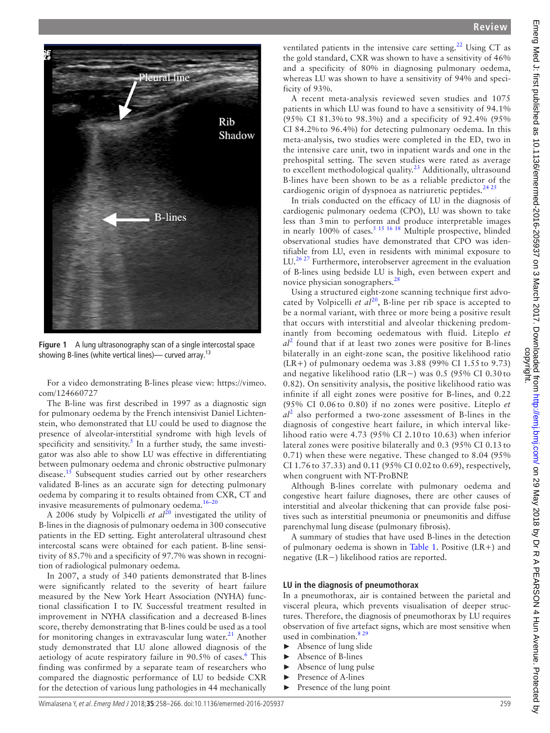

**Figure 1** A lung ultrasonography scan of a single intercostal space showing B-lines (white vertical lines)— curved array.<sup>[13](#page-7-16)</sup>

<span id="page-1-0"></span>For a video demonstrating B-lines please view: [https://vimeo.](https://vimeo.com/124660727) [com/124660727](https://vimeo.com/124660727)

The B-line was first described in 1997 as a diagnostic sign for pulmonary oedema by the French intensivist Daniel Lichtenstein, who demonstrated that LU could be used to diagnose the presence of alveolar-interstitial syndrome with high levels of specificity and sensitivity.<sup>[5](#page-7-1)</sup> In a further study, the same investigator was also able to show LU was effective in differentiating between pulmonary oedema and chronic obstructive pulmonary disease.<sup>15</sup> Subsequent studies carried out by other researchers validated B-lines as an accurate sign for detecting pulmonary oedema by comparing it to results obtained from CXR, CT and invasive measurements of pulmonary oedema.[16–20](#page-7-5)

A [20](#page-7-6)06 study by Volpicelli *et al*<sup>20</sup> investigated the utility of B-lines in the diagnosis of pulmonary oedema in 300 consecutive patients in the ED setting. Eight anterolateral ultrasound chest intercostal scans were obtained for each patient. B-line sensitivity of 85.7% and a specificity of 97.7% was shown in recognition of radiological pulmonary oedema.

In 2007, a study of 340 patients demonstrated that B-lines were significantly related to the severity of heart failure measured by the New York Heart Association (NYHA) functional classification I to IV. Successful treatment resulted in improvement in NYHA classification and a decreased B-lines score, thereby demonstrating that B-lines could be used as a tool for monitoring changes in extravascular lung water.<sup>21</sup> Another study demonstrated that LU alone allowed diagnosis of the aetiology of acute respiratory failure in 90.5% of cases.<sup>[6](#page-7-8)</sup> This finding was confirmed by a separate team of researchers who compared the diagnostic performance of LU to bedside CXR for the detection of various lung pathologies in 44 mechanically

ventilated patients in the intensive care setting.<sup>[22](#page-7-9)</sup> Using CT as the gold standard, CXR was shown to have a sensitivity of 46% and a specificity of 80% in diagnosing pulmonary oedema, whereas LU was shown to have a sensitivity of 94% and specificity of 93%.

A recent meta-analysis reviewed seven studies and 1075 patients in which LU was found to have a sensitivity of 94.1% (95% CI 81.3% to 98.3%) and a specificity of 92.4% (95% CI 84.2% to 96.4%) for detecting pulmonary oedema. In this meta-analysis, two studies were completed in the ED, two in the intensive care unit, two in inpatient wards and one in the prehospital setting. The seven studies were rated as average to excellent methodological quality.<sup>[23](#page-7-10)</sup> Additionally, ultrasound B-lines have been shown to be as a reliable predictor of the cardiogenic origin of dyspnoea as natriuretic peptides. $2425$ 

In trials conducted on the efficacy of LU in the diagnosis of cardiogenic pulmonary oedema (CPO), LU was shown to take less than 3min to perform and produce interpretable images in nearly 100% of cases.<sup>5 15 16 18</sup> Multiple prospective, blinded observational studies have demonstrated that CPO was identifiable from LU, even in residents with minimal exposure to LU.<sup>26,27</sup> Furthermore, interobserver agreement in the evaluation of B-lines using bedside LU is high, even between expert and novice physician sonographers.<sup>[28](#page-7-13)</sup>

Using a structured eight-zone scanning technique first advocated by Volpicelli *et al*<sup>[20](#page-7-6)</sup>, B-line per rib space is accepted to be a normal variant, with three or more being a positive result that occurs with interstitial and alveolar thickening predominantly from becoming oedematous with fluid. Liteplo *et al*[2](#page-7-14) found that if at least two zones were positive for B-lines bilaterally in an eight-zone scan, the positive likelihood ratio (LR+) of pulmonary oedema was  $3.88$  (99% CI 1.55 to 9.73) and negative likelihood ratio (LR−) was 0.5 (95% CI 0.30 to 0.82). On sensitivity analysis, the positive likelihood ratio was infinite if all eight zones were positive for B-lines, and 0.22 (95% CI 0.06 to 0.80) if no zones were positive. Liteplo *et al*[2](#page-7-14) also performed a two-zone assessment of B-lines in the diagnosis of congestive heart failure, in which interval likelihood ratio were 4.73 (95% CI 2.10 to 10.63) when inferior lateral zones were positive bilaterally and 0.3 (95% CI 0.13 to 0.71) when these were negative. These changed to 8.04 (95% CI 1.76 to 37.33) and 0.11 (95% CI 0.02 to 0.69), respectively, when congruent with NT-ProBNP.

Although B-lines correlate with pulmonary oedema and congestive heart failure diagnoses, there are other causes of interstitial and alveolar thickening that can provide false positives such as interstitial pneumonia or pneumonitis and diffuse parenchymal lung disease (pulmonary fibrosis).

A summary of studies that have used B-lines in the detection of pulmonary oedema is shown in [Table](#page-2-0) 1. Positive (LR+) and negative (LR−) likelihood ratios are reported.

#### **LU in the diagnosis of pneumothorax**

In a pneumothorax, air is contained between the parietal and visceral pleura, which prevents visualisation of deeper structures. Therefore, the diagnosis of pneumothorax by LU requires observation of five artefact signs, which are most sensitive when used in combination. $8<sup>2</sup>$ 

- $\blacktriangleright$  Absence of lung slide
- Absence of B-lines
- Absence of lung pulse
- Presence of A-lines
- Presence of the lung point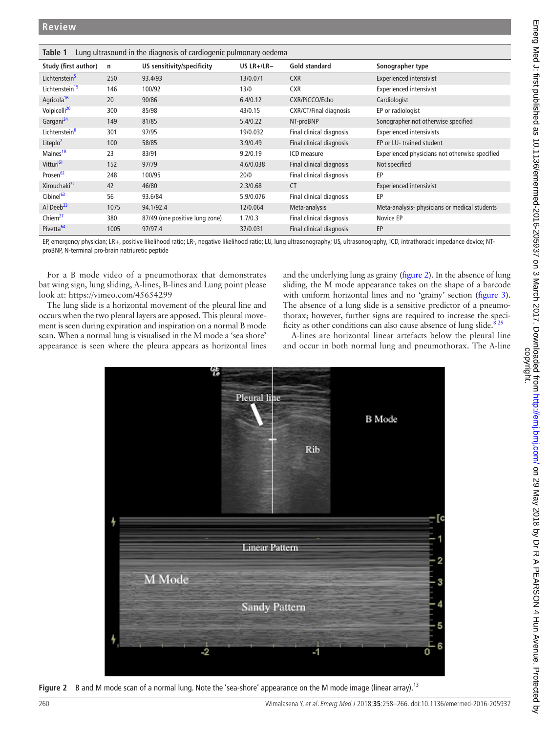<span id="page-2-0"></span>

| Lung ultrasound in the diagnosis of cardiogenic pulmonary oedema<br>Table 1 |      |                                |              |                               |                                                |  |
|-----------------------------------------------------------------------------|------|--------------------------------|--------------|-------------------------------|------------------------------------------------|--|
| Study (first author)                                                        | n    | US sensitivity/specificity     | US $LR+/LR-$ | Gold standard                 | Sonographer type                               |  |
| Lichtenstein <sup>5</sup>                                                   | 250  | 93.4/93                        | 13/0.071     | <b>CXR</b>                    | <b>Experienced intensivist</b>                 |  |
| Lichtenstein <sup>15</sup>                                                  | 146  | 100/92                         | 13/0         | <b>CXR</b>                    | <b>Experienced intensivist</b>                 |  |
| Agricola <sup>16</sup>                                                      | 20   | 90/86                          | 6.4/0.12     | CXR/PiCCO/Echo                | Cardiologist                                   |  |
| Volpicelli <sup>20</sup>                                                    | 300  | 85/98                          | 43/0.15      | <b>CXR/CT/Final diagnosis</b> | EP or radiologist                              |  |
| Gargani <sup>24</sup>                                                       | 149  | 81/85                          | 5.4/0.22     | NT-proBNP                     | Sonographer not otherwise specified            |  |
| Lichtenstein <sup>6</sup>                                                   | 301  | 97/95                          | 19/0.032     | Final clinical diagnosis      | <b>Experienced intensivists</b>                |  |
| Liteplo <sup>2</sup>                                                        | 100  | 58/85                          | 3.9/0.49     | Final clinical diagnosis      | EP or LU- trained student                      |  |
| Maines <sup>19</sup>                                                        | 23   | 83/91                          | 9.2/0.19     | ICD measure                   | Experienced physicians not otherwise specified |  |
| Vitturi <sup>61</sup>                                                       | 152  | 97/79                          | 4.6/0.038    | Final clinical diagnosis      | Not specified                                  |  |
| Prosen <sup>62</sup>                                                        | 248  | 100/95                         | 20/0         | Final clinical diagnosis      | EP                                             |  |
| Xirouchaki <sup>22</sup>                                                    | 42   | 46/80                          | 2.3/0.68     | <b>CT</b>                     | <b>Experienced intensivist</b>                 |  |
| Cibinel <sup>63</sup>                                                       | 56   | 93.6/84                        | 5.9/0.076    | Final clinical diagnosis      | EP                                             |  |
| Al Dee $b^{23}$                                                             | 1075 | 94.1/92.4                      | 12/0.064     | Meta-analysis                 | Meta-analysis-physicians or medical students   |  |
| Chiem <sup>27</sup>                                                         | 380  | 87/49 (one positive lung zone) | 1.7/0.3      | Final clinical diagnosis      | Novice EP                                      |  |
| Pivetta <sup>64</sup>                                                       | 1005 | 97/97.4                        | 37/0.031     | Final clinical diagnosis      | EP                                             |  |

EP, emergency physician; LR+, positive likelihood ratio; LR-, negative likelihood ratio; LU, lung ultrasonography; US, ultrasonography, ICD, intrathoracic impedance device; NTproBNP, N-terminal pro-brain natriuretic peptide

For a B mode video of a pneumothorax that demonstrates bat wing sign, lung sliding, A-lines, B-lines and Lung point please look at:<https://vimeo.com/45654299>

The lung slide is a horizontal movement of the pleural line and occurs when the two pleural layers are apposed. This pleural movement is seen during expiration and inspiration on a normal B mode scan. When a normal lung is visualised in the M mode a 'sea shore' appearance is seen where the pleura appears as horizontal lines and the underlying lung as grainy ([figure](#page-2-1) 2). In the absence of lung sliding, the M mode appearance takes on the shape of a barcode with uniform horizontal lines and no 'grainy' section ([figure](#page-3-0) 3). The absence of a lung slide is a sensitive predictor of a pneumothorax; however, further signs are required to increase the specificity as other conditions can also cause absence of lung slide. $8^{29}$ 

A-lines are horizontal linear artefacts below the pleural line and occur in both normal lung and pneumothorax. The A-line



<span id="page-2-1"></span>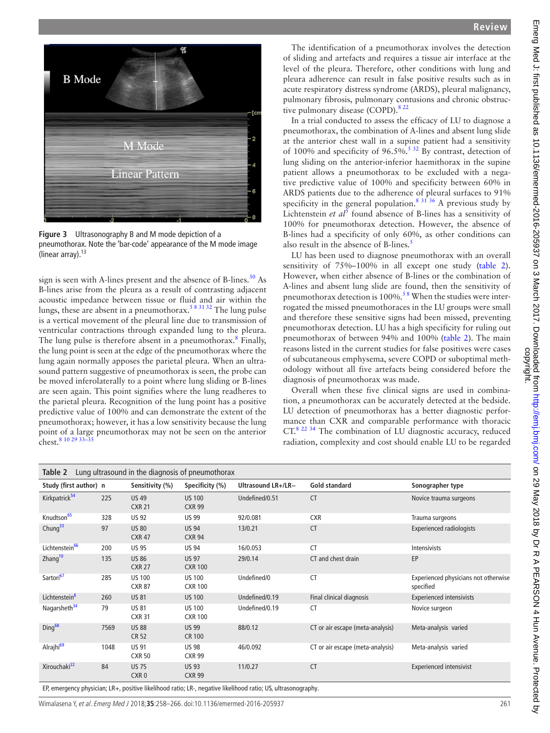

| D MOUC<br>– [cm                                                                                                                                         |
|---------------------------------------------------------------------------------------------------------------------------------------------------------|
| M Mode                                                                                                                                                  |
| Linear Pattern<br>6                                                                                                                                     |
|                                                                                                                                                         |
| <b>Figure 3</b> Ultrasonography B and M mode depiction of a<br>pneumothorax. Note the 'bar-code' appearance of the M mode image<br>(linear array). $13$ |
|                                                                                                                                                         |

<span id="page-3-0"></span>sign is seen with A-lines present and the absence of B-lines. $30$  As B-lines arise from the pleura as a result of contrasting adjacent acoustic impedance between tissue or fluid and air within the lungs, these are absent in a pneumothorax.<sup>58 31 32</sup> The lung pulse is a vertical movement of the pleural line due to transmission of ventricular contractions through expanded lung to the pleura. The lung pulse is therefore absent in a pneumothorax.<sup>[8](#page-7-15)</sup> Finally, the lung point is seen at the edge of the pneumothorax where the lung again normally apposes the parietal pleura. When an ultrasound pattern suggestive of pneumothorax is seen, the probe can be moved inferolaterally to a point where lung sliding or B-lines are seen again. This point signifies where the lung readheres to the parietal pleura. Recognition of the lung point has a positive predictive value of 100% and can demonstrate the extent of the pneumothorax; however, it has a low sensitivity because the lung point of a large pneumothorax may not be seen on the anterior chest.<sup>8</sup> 10 29 33

<span id="page-3-1"></span>

| hest. <sup>8</sup> 10 29 33–35                                  |      |                                  |                                 |                    |                                  | radiation, complexity and cost should enable LU to be regarded |
|-----------------------------------------------------------------|------|----------------------------------|---------------------------------|--------------------|----------------------------------|----------------------------------------------------------------|
| <b>Table 2</b> Lung ultrasound in the diagnosis of pneumothorax |      |                                  |                                 |                    |                                  |                                                                |
| Study (first author) n                                          |      | Sensitivity (%)                  | Specificity (%)                 | Ultrasound LR+/LR- | <b>Gold standard</b>             | Sonographer type                                               |
| Kirkpatrick <sup>54</sup>                                       | 225  | <b>US49</b><br><b>CXR 21</b>     | <b>US 100</b><br><b>CXR 99</b>  | Undefined/0.51     | <b>CT</b>                        | Novice trauma surgeons                                         |
| Knudtson <sup>65</sup>                                          | 328  | <b>US 92</b>                     | <b>US 99</b>                    | 92/0.081           | <b>CXR</b>                       | Trauma surgeons                                                |
| Chung <sup>33</sup>                                             | 97   | <b>US 80</b><br><b>CXR 47</b>    | <b>US 94</b><br><b>CXR 94</b>   | 13/0.21            | <b>CT</b>                        | <b>Experienced radiologists</b>                                |
| Lichtenstein <sup>66</sup>                                      | 200  | <b>US 95</b>                     | <b>US 94</b>                    | 16/0.053           | <b>CT</b>                        | Intensivists                                                   |
| Zhang <sup>10</sup>                                             | 135  | <b>US 86</b><br><b>CXR 27</b>    | <b>US 97</b><br><b>CXR 100</b>  | 29/0.14            | CT and chest drain               | EP                                                             |
| Sartori <sup>67</sup>                                           | 285  | <b>US 100</b><br><b>CXR 87</b>   | <b>US 100</b><br><b>CXR 100</b> | Undefined/0        | <b>CT</b>                        | Experienced physicians not otherwise<br>specified              |
| Lichtenstein <sup>6</sup>                                       | 260  | <b>US 81</b>                     | <b>US 100</b>                   | Undefined/0.19     | Final clinical diagnosis         | <b>Experienced intensivists</b>                                |
| Nagarsheth <sup>34</sup>                                        | 79   | <b>US 81</b><br><b>CXR 31</b>    | <b>US 100</b><br><b>CXR 100</b> | Undefined/0.19     | <b>CT</b>                        | Novice surgeon                                                 |
| Ding <sup>68</sup>                                              | 7569 | <b>US 88</b><br>CR 52            | <b>US 99</b><br><b>CR 100</b>   | 88/0.12            | CT or air escape (meta-analysis) | Meta-analysis varied                                           |
| Alrajhi <sup>69</sup>                                           | 1048 | <b>US 91</b><br><b>CXR 50</b>    | <b>US 98</b><br><b>CXR 99</b>   | 46/0.092           | CT or air escape (meta-analysis) | Meta-analysis varied                                           |
| Xirouchaki <sup>22</sup>                                        | 84   | <b>US 75</b><br>CXR <sub>0</sub> | <b>US 93</b><br><b>CXR 99</b>   | 11/0.27            | <b>CT</b>                        | <b>Experienced intensivist</b>                                 |

EP, emergency physician; LR+, positive likelihood ratio; LR-, negative likelihood ratio; US, ultrasonography.

Wimalasena Y, et al. Emerg Med J 2018;**35**:258–266. doi:10.1136/emermed-2016-205937 261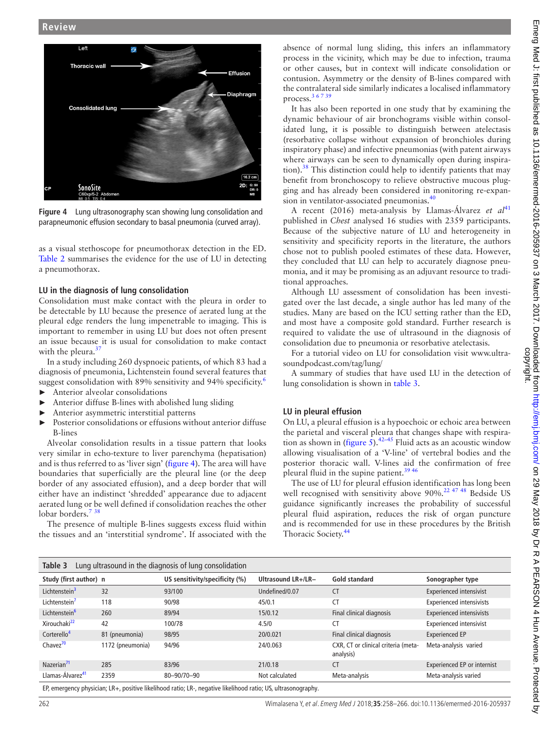

<span id="page-4-0"></span>**Figure 4** Lung ultrasonography scan showing lung consolidation and parapneumonic effusion secondary to basal pneumonia (curved array).

as a visual stethoscope for pneumothorax detection in the ED. [Table](#page-3-1) 2 summarises the evidence for the use of LU in detecting a pneumothorax.

#### **LU in the diagnosis of lung consolidation**

Consolidation must make contact with the pleura in order to be detectable by LU because the presence of aerated lung at the pleural edge renders the lung impenetrable to imaging. This is important to remember in using LU but does not often present an issue because it is usual for consolidation to make contact with the pleura.<sup>37</sup>

In a study including 260 dyspnoeic patients, of which 83 had a diagnosis of pneumonia, Lichtenstein found several features that suggest consolidation with 89% sensitivity and 94% specificity.<sup>[6](#page-7-8)</sup>

- ► Anterior alveolar consolidations
- $\blacktriangleright$  Anterior diffuse B-lines with abolished lung sliding
- Anterior asymmetric interstitial patterns
- Posterior consolidations or effusions without anterior diffuse B-lines

Alveolar consolidation results in a tissue pattern that looks very similar in echo-texture to liver parenchyma (hepatisation) and is thus referred to as 'liver sign' ([figure](#page-4-0) 4). The area will have boundaries that superficially are the pleural line (or the deep border of any associated effusion), and a deep border that will either have an indistinct 'shredded' appearance due to adjacent aerated lung or be well defined if consolidation reaches the other lobar borders.<sup>7[38](#page-8-11)</sup>

The presence of multiple B-lines suggests excess fluid within the tissues and an 'interstitial syndrome'. If associated with the absence of normal lung sliding, this infers an inflammatory process in the vicinity, which may be due to infection, trauma or other causes, but in context will indicate consolidation or contusion. Asymmetry or the density of B-lines compared with the contralateral side similarly indicates a localised inflammatory process. $367$ 

It has also been reported in one study that by examining the dynamic behaviour of air bronchograms visible within consolidated lung, it is possible to distinguish between atelectasis (resorbative collapse without expansion of bronchioles during inspiratory phase) and infective pneumonias (with patent airways where airways can be seen to dynamically open during inspiration).[38](#page-8-11) This distinction could help to identify patients that may benefit from bronchoscopy to relieve obstructive mucous plugging and has already been considered in monitoring re-expan-sion in ventilator-associated pneumonias.<sup>[40](#page-8-12)</sup>

A recent (2016) meta-analysis by Llamas-Álvarez *et al*<sup>[41](#page-8-13)</sup> published in *Chest* analysed 16 studies with 2359 participants. Because of the subjective nature of LU and heterogeneity in sensitivity and specificity reports in the literature, the authors chose not to publish pooled estimates of these data. However, they concluded that LU can help to accurately diagnose pneumonia, and it may be promising as an adjuvant resource to traditional approaches.

Although LU assessment of consolidation has been investigated over the last decade, a single author has led many of the studies. Many are based on the ICU setting rather than the ED, and most have a composite gold standard. Further research is required to validate the use of ultrasound in the diagnosis of consolidation due to pneumonia or resorbative atelectasis.

For a tutorial video on LU for consolidation visit [www.ultra](http://www.ultrasoundpodcast.com/tag/lung/)[soundpodcast.com/tag/lung/](http://www.ultrasoundpodcast.com/tag/lung/)

A summary of studies that have used LU in the detection of lung consolidation is shown in [table](#page-4-1) 3.

# **LU in pleural effusion**

On LU, a pleural effusion is a hypoechoic or echoic area between the parietal and visceral pleura that changes shape with respiration as shown in ([figure](#page-5-0) 5).<sup>[42–45](#page-8-14)</sup> Fluid acts as an acoustic window allowing visualisation of a 'V-line' of vertebral bodies and the posterior thoracic wall. V-lines aid the confirmation of free pleural fluid in the supine patient.[39 46](#page-8-15)

The use of LU for pleural effusion identification has long been well recognised with sensitivity above 90%.<sup>[22 47 48](#page-7-9)</sup> Bedside US guidance significantly increases the probability of successful pleural fluid aspiration, reduces the risk of organ puncture and is recommended for use in these procedures by the British Thoracic Society.<sup>44</sup>

<span id="page-4-1"></span>

| Lung ultrasound in the diagnosis of lung consolidation<br>Table 3                                             |                  |                                |                    |                                                  |                                    |
|---------------------------------------------------------------------------------------------------------------|------------------|--------------------------------|--------------------|--------------------------------------------------|------------------------------------|
| Study (first author) n                                                                                        |                  | US sensitivity/specificity (%) | Ultrasound LR+/LR- | <b>Gold standard</b>                             | Sonographer type                   |
| Lichtenstein <sup>3</sup>                                                                                     | 32               | 93/100                         | Undefined/0.07     | <b>CT</b>                                        | <b>Experienced intensivist</b>     |
| Lichtenstein'                                                                                                 | 118              | 90/98                          | 45/0.1             | CT                                               | <b>Experienced intensivists</b>    |
| Lichtenstein <sup>6</sup>                                                                                     | 260              | 89/94                          | 15/0.12            | Final clinical diagnosis                         | <b>Experienced intensivists</b>    |
| Xirouchaki <sup>22</sup>                                                                                      | 42               | 100/78                         | 4.5/0              | CT.                                              | <b>Experienced intensivist</b>     |
| Corterello <sup>4</sup>                                                                                       | 81 (pneumonia)   | 98/95                          | 20/0.021           | Final clinical diagnosis                         | <b>Experienced EP</b>              |
| Chavez <sup>70</sup>                                                                                          | 1172 (pneumonia) | 94/96                          | 24/0.063           | CXR, CT or clinical criteria (meta-<br>analysis) | Meta-analysis varied               |
| Nazerian <sup>71</sup>                                                                                        | 285              | 83/96                          | 21/0.18            | <b>CT</b>                                        | <b>Experienced EP or internist</b> |
| Llamas-Álvarez <sup>41</sup>                                                                                  | 2359             | 80-90/70-90                    | Not calculated     | Meta-analysis                                    | Meta-analysis varied               |
| EP, emergency physician; LR+, positive likelihood ratio; LR-, negative likelihood ratio; US, ultrasonography. |                  |                                |                    |                                                  |                                    |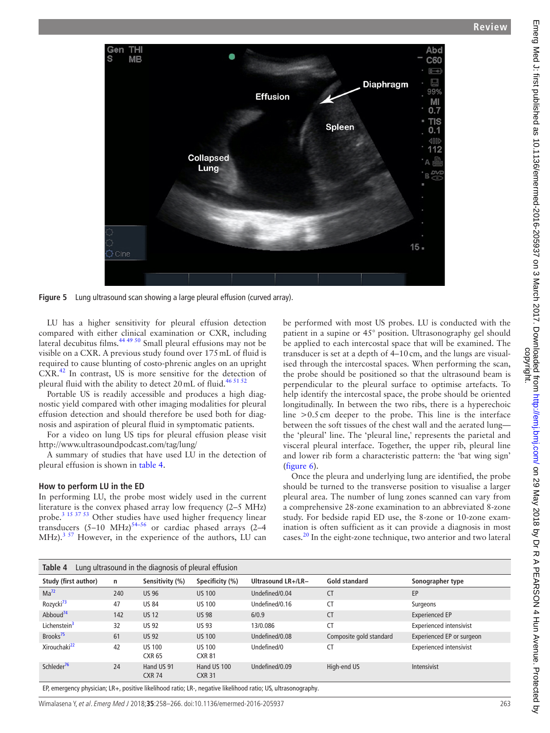

**Figure 5** Lung ultrasound scan showing a large pleural effusion (curved array).

LU has a higher sensitivity for pleural effusion detection compared with either clinical examination or CXR, including lateral decubitus films.<sup>[44 49 50](#page-8-16)</sup> Small pleural effusions may not be visible on a CXR. A previous study found over 175mL of fluid is required to cause blunting of costo-phrenic angles on an upright CXR[.42](#page-8-14) In contrast, US is more sensitive for the detection of pleural fluid with the ability to detect  $20$  mL of fluid.<sup>[46 51 52](#page-8-19)</sup>

Portable US is readily accessible and produces a high diagnostic yield compared with other imaging modalities for pleural effusion detection and should therefore be used both for diagnosis and aspiration of pleural fluid in symptomatic patients.

For a video on lung US tips for pleural effusion please visit <http://www.ultrasoundpodcast.com/tag/lung/>

A summary of studies that have used LU in the detection of pleural effusion is shown in [table](#page-5-1) 4.

#### **How to perform LU in the ED**

In performing LU, the probe most widely used in the current literature is the convex phased array low frequency (2–5 MHz) probe.<sup>3 15 37 53</sup> Other studies have used higher frequency linear transducers  $(5-10 \text{ MHz})^{54-56}$  or cardiac phased arrays  $(2-4$  $MHz$ ).<sup>[3 57](#page-7-24)</sup> However, in the experience of the authors, LU can <span id="page-5-0"></span>be performed with most US probes. LU is conducted with the patient in a supine or 45° position. Ultrasonography gel should be applied to each intercostal space that will be examined. The transducer is set at a depth of 4–10cm, and the lungs are visualised through the intercostal spaces. When performing the scan, the probe should be positioned so that the ultrasound beam is perpendicular to the pleural surface to optimise artefacts. To help identify the intercostal space, the probe should be oriented longitudinally. In between the two ribs, there is a hyperechoic line >0.5cm deeper to the probe. This line is the interface between the soft tissues of the chest wall and the aerated lung the 'pleural' line. The 'pleural line,' represents the parietal and visceral pleural interface. Together, the upper rib, pleural line and lower rib form a characteristic pattern: the 'bat wing sign' ([figure](#page-6-0) 6).

Once the pleura and underlying lung are identified, the probe should be turned to the transverse position to visualise a larger pleural area. The number of lung zones scanned can vary from a comprehensive 28-zone examination to an abbreviated 8-zone study. For bedside rapid ED use, the 8-zone or 10-zone examination is often sufficient as it can provide a diagnosis in most cases.<sup>20</sup> In the eight-zone technique, two anterior and two lateral

<span id="page-5-1"></span>

| Table 4<br>Lung ultrasound in the diagnosis of pleural effusion |     |                                |                                |                    |                         |                                |
|-----------------------------------------------------------------|-----|--------------------------------|--------------------------------|--------------------|-------------------------|--------------------------------|
| Study (first author)                                            | n   | Sensitivity (%)                | Specificity (%)                | Ultrasound LR+/LR- | Gold standard           | Sonographer type               |
| $Ma^{72}$                                                       | 240 | <b>US 96</b>                   | <b>US 100</b>                  | Undefined/0.04     | CT                      | EP                             |
| Rozycki <sup>73</sup>                                           | 47  | <b>US 84</b>                   | <b>US 100</b>                  | Undefined/0.16     | CT                      | Surgeons                       |
| Abboud <sup>74</sup>                                            | 142 | <b>US12</b>                    | <b>US 98</b>                   | 6/0.9              | <b>CT</b>               | <b>Experienced EP</b>          |
| Lichenstein <sup>3</sup>                                        | 32  | <b>US 92</b>                   | <b>US 93</b>                   | 13/0.086           | <b>CT</b>               | <b>Experienced intensivist</b> |
| Brooks <sup>75</sup>                                            | 61  | <b>US 92</b>                   | <b>US 100</b>                  | Undefined/0.08     | Composite gold standard | Experienced EP or surgeon      |
| Xirouchaki <sup>22</sup>                                        | 42  | <b>US 100</b><br><b>CXR 65</b> | <b>US 100</b><br><b>CXR 81</b> | Undefined/0        | CT                      | <b>Experienced intensivist</b> |
| Schleder <sup>76</sup>                                          | 24  | Hand US 91<br><b>CXR 74</b>    | Hand US 100<br><b>CXR 31</b>   | Undefined/0.09     | High-end US             | Intensivist                    |

EP, emergency physician; LR+, positive likelihood ratio; LR-, negative likelihood ratio; US, ultrasonography.

Wimalasena Y, et al. Emerg Med J 2018;**35**:258–266. doi:10.1136/emermed-2016-205937 263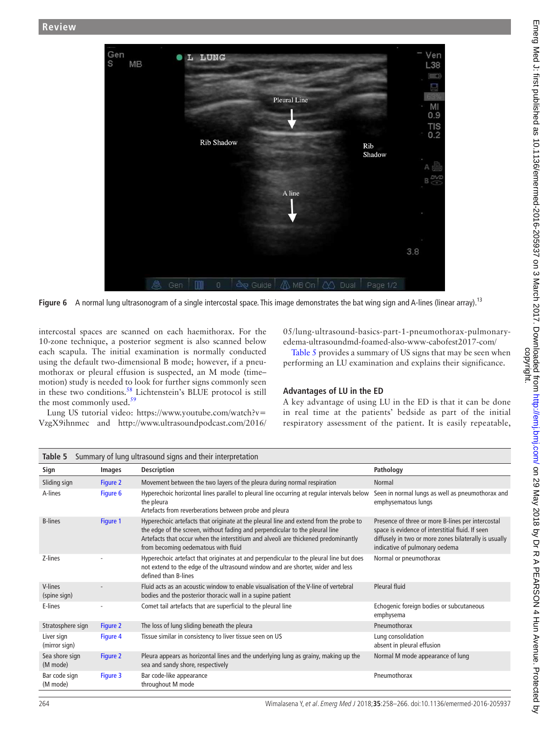

**Figure 6** A normal lung ultrasonogram of a single intercostal space. This image demonstrates the bat wing sign and A-lines (linear array).<sup>[13](#page-7-16)</sup>

intercostal spaces are scanned on each haemithorax. For the 10-zone technique, a posterior segment is also scanned below each scapula. The initial examination is normally conducted using the default two-dimensional B mode; however, if a pneumothorax or pleural effusion is suspected, an M mode (time– motion) study is needed to look for further signs commonly seen in these two conditions.<sup>58</sup> Lichtenstein's BLUE protocol is still the most commonly used.<sup>[59](#page-8-26)</sup>

Lung US tutorial video: [https://www.youtube.com/watch?v=](https://www.youtube.com/watch?v=VzgX9ihnmec) [VzgX9ihnmec](https://www.youtube.com/watch?v=VzgX9ihnmec) and [http://www.ultrasoundpodcast.com/2016/](http://www.ultrasoundpodcast.com/2016/05/lung-ultrasound-basics-part-1-pneumothorax-pulmonary-edema-ultrasoundmd-foamed-also-www-cabofest2017-com/) <span id="page-6-0"></span>[05/lung-ultrasound-basics-part-1-pneumothorax-pulmonary](http://www.ultrasoundpodcast.com/2016/05/lung-ultrasound-basics-part-1-pneumothorax-pulmonary-edema-ultrasoundmd-foamed-also-www-cabofest2017-com/)[edema-ultrasoundmd-foamed-also-www-cabofest2017-com/](http://www.ultrasoundpodcast.com/2016/05/lung-ultrasound-basics-part-1-pneumothorax-pulmonary-edema-ultrasoundmd-foamed-also-www-cabofest2017-com/)

[Table](#page-6-1) 5 provides a summary of US signs that may be seen when performing an LU examination and explains their significance.

#### **Advantages of LU in the ED**

A key advantage of using LU in the ED is that it can be done in real time at the patients' bedside as part of the initial respiratory assessment of the patient. It is easily repeatable,

<span id="page-6-1"></span>

| Summary of lung ultrasound signs and their interpretation<br>Table 5 |          |                                                                                                                                                                                                                                                                                                    |                                                                                                                                                                                                  |  |  |
|----------------------------------------------------------------------|----------|----------------------------------------------------------------------------------------------------------------------------------------------------------------------------------------------------------------------------------------------------------------------------------------------------|--------------------------------------------------------------------------------------------------------------------------------------------------------------------------------------------------|--|--|
| Sign                                                                 | Images   | <b>Description</b>                                                                                                                                                                                                                                                                                 | Pathology                                                                                                                                                                                        |  |  |
| Sliding sign                                                         | Figure 2 | Movement between the two layers of the pleura during normal respiration                                                                                                                                                                                                                            | Normal                                                                                                                                                                                           |  |  |
| A-lines                                                              | Figure 6 | Hyperechoic horizontal lines parallel to pleural line occurring at regular intervals below<br>the pleura<br>Artefacts from reverberations between probe and pleura                                                                                                                                 | Seen in normal lungs as well as pneumothorax and<br>emphysematous lungs                                                                                                                          |  |  |
| <b>B-lines</b>                                                       | Figure 1 | Hyperechoic artefacts that originate at the pleural line and extend from the probe to<br>the edge of the screen, without fading and perpendicular to the pleural line<br>Artefacts that occur when the interstitium and alveoli are thickened predominantly<br>from becoming oedematous with fluid | Presence of three or more B-lines per intercostal<br>space is evidence of interstitial fluid. If seen<br>diffusely in two or more zones bilaterally is usually<br>indicative of pulmonary oedema |  |  |
| Z-lines                                                              |          | Hyperechoic artefact that originates at and perpendicular to the pleural line but does<br>not extend to the edge of the ultrasound window and are shorter, wider and less<br>defined than B-lines                                                                                                  | Normal or pneumothorax                                                                                                                                                                           |  |  |
| V-lines<br>(spine sign)                                              |          | Fluid acts as an acoustic window to enable visualisation of the V-line of vertebral<br>bodies and the posterior thoracic wall in a supine patient                                                                                                                                                  | Pleural fluid                                                                                                                                                                                    |  |  |
| E-lines                                                              |          | Comet tail artefacts that are superficial to the pleural line                                                                                                                                                                                                                                      | Echogenic foreign bodies or subcutaneous<br>emphysema                                                                                                                                            |  |  |
| Stratosphere sign                                                    | Figure 2 | The loss of lung sliding beneath the pleura                                                                                                                                                                                                                                                        | Pneumothorax                                                                                                                                                                                     |  |  |
| Liver sign<br>(mirror sign)                                          | Figure 4 | Tissue similar in consistency to liver tissue seen on US                                                                                                                                                                                                                                           | Lung consolidation<br>absent in pleural effusion                                                                                                                                                 |  |  |
| Sea shore sign<br>(M mode)                                           | Figure 2 | Pleura appears as horizontal lines and the underlying lung as grainy, making up the<br>sea and sandy shore, respectively                                                                                                                                                                           | Normal M mode appearance of lung                                                                                                                                                                 |  |  |
| Bar code sign<br>(M mode)                                            | Figure 3 | Bar code-like appearance<br>throughout M mode                                                                                                                                                                                                                                                      | Pneumothorax                                                                                                                                                                                     |  |  |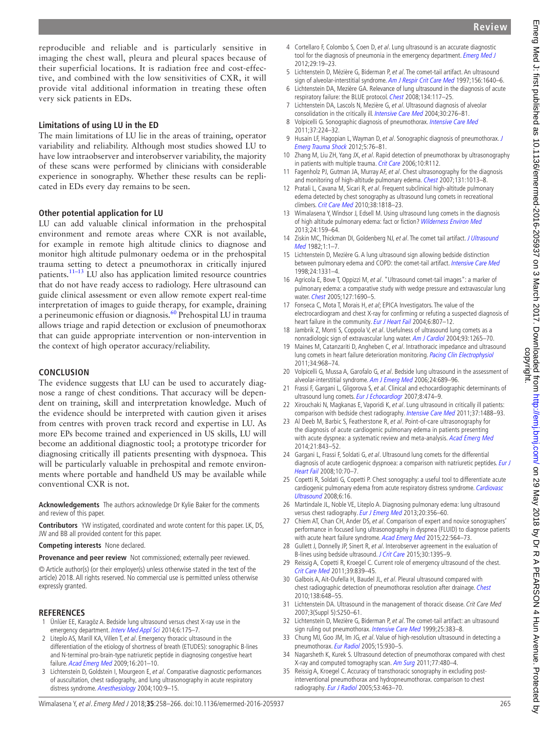reproducible and reliable and is particularly sensitive in imaging the chest wall, pleura and pleural spaces because of their superficial locations. It is radiation free and cost-effective, and combined with the low sensitivities of CXR, it will provide vital additional information in treating these often very sick patients in EDs.

#### **Limitations of using LU in the ED**

The main limitations of LU lie in the areas of training, operator variability and reliability. Although most studies showed LU to have low intraobserver and interobserver variability, the majority of these scans were performed by clinicians with considerable experience in sonography. Whether these results can be replicated in EDs every day remains to be seen.

#### **Other potential application for LU**

LU can add valuable clinical information in the prehospital environment and remote areas where CXR is not available, for example in remote high altitude clinics to diagnose and monitor high altitude pulmonary oedema or in the prehospital trauma setting to detect a pneumothorax in critically injured patients.[11–13](#page-7-2) LU also has application limited resource countries that do not have ready access to radiology. Here ultrasound can guide clinical assessment or even allow remote expert real-time interpretation of images to guide therapy, for example, draining a perineumonic effusion or diagnosis.<sup>[60](#page-8-27)</sup> Prehospital LU in trauma allows triage and rapid detection or exclusion of pneumothorax that can guide appropriate intervention or non-intervention in the context of high operator accuracy/reliability.

#### **Conclusion**

The evidence suggests that LU can be used to accurately diagnose a range of chest conditions. That accuracy will be dependent on training, skill and interpretation knowledge. Much of the evidence should be interpreted with caution given it arises from centres with proven track record and expertise in LU. As more EPs become trained and experienced in US skills, LU will become an additional diagnostic tool; a prototype tricorder for diagnosing critically ill patients presenting with dyspnoea. This will be particularly valuable in prehospital and remote environments where portable and handheld US may be available while conventional CXR is not.

**Acknowledgements** The authors acknowledge Dr Kylie Baker for the comments and review of this paper.

**Contributors** YW instigated, coordinated and wrote content for this paper. LK, DS, JW and BB all provided content for this paper.

**Competing interests** None declared.

**Provenance and peer review** Not commissioned; externally peer reviewed.

© Article author(s) (or their employer(s) unless otherwise stated in the text of the article) 2018. All rights reserved. No commercial use is permitted unless otherwise expressly granted.

#### **References**

- <span id="page-7-0"></span>Unlüer EE, Karagöz A. Bedside lung ultrasound versus chest X-ray use in the emergency department. [Interv Med Appl Sci](http://dx.doi.org/10.1556/IMAS.6.2014.002) 2014;6:175-7.
- <span id="page-7-14"></span>2 Liteplo AS, Marill KA, Villen T, et al. Emergency thoracic ultrasound in the differentiation of the etiology of shortness of breath (ETUDES): sonographic B-lines and N-terminal pro-brain-type natriuretic peptide in diagnosing congestive heart failure. [Acad Emerg Med](http://dx.doi.org/10.1111/j.1553-2712.2008.00347.x) 2009;16:201–10.
- <span id="page-7-24"></span>3 Lichtenstein D, Goldstein I, Mourgeon E, et al. Comparative diagnostic performances of auscultation, chest radiography, and lung ultrasonography in acute respiratory distress syndrome. [Anesthesiology](http://dx.doi.org/10.1097/00000542-200401000-00006) 2004;100:9–15.
- <span id="page-7-25"></span>4 Cortellaro F, Colombo S, Coen D, et al. Lung ultrasound is an accurate diagnostic tool for the diagnosis of pneumonia in the emergency department. [Emerg Med J](http://dx.doi.org/10.1136/emj.2010.101584) 2012;29:19–23.
- <span id="page-7-1"></span>5 Lichtenstein D, Mézière G, Biderman P, et al. The comet-tail artifact. An ultrasound sign of alveolar-interstitial syndrome. [Am J Respir Crit Care Med](http://dx.doi.org/10.1164/ajrccm.156.5.96-07096) 1997;156:1640-6.
- <span id="page-7-8"></span>6 Lichtenstein DA, Mezière GA. Relevance of lung ultrasound in the diagnosis of acute respiratory failure: the BLUE protocol. [Chest](http://dx.doi.org/10.1378/chest.07-2800) 2008;134:117–25.
- <span id="page-7-23"></span>7 Lichtenstein DA, Lascols N, Mezière G, et al. Ultrasound diagnosis of alveolar consolidation in the critically ill. [Intensive Care Med](http://dx.doi.org/10.1007/s00134-003-2075-6) 2004;30:276-81.
- <span id="page-7-15"></span>8 Volpicelli G. Sonographic diagnosis of pneumothorax. [Intensive Care Med](http://dx.doi.org/10.1007/s00134-010-2079-y) 2011;37:224–32.
- 9 Husain LF, Hagopian L, Wayman D, et al. Sonographic diagnosis of pneumothorax. J [Emerg Trauma Shock](http://dx.doi.org/10.4103/0974-2700.93116) 2012;5:76–81.
- <span id="page-7-21"></span>10 Zhang M, Liu ZH, Yang JX, et al. Rapid detection of pneumothorax by ultrasonography in patients with multiple trauma. [Crit Care](http://dx.doi.org/10.1186/cc5004) 2006;10:R112.
- <span id="page-7-2"></span>11 Fagenholz PJ, Gutman JA, Murray AF, et al. Chest ultrasonography for the diagnosis and monitoring of high-altitude pulmonary edema. [Chest](http://dx.doi.org/10.1378/chest.06-1864) 2007;131:1013-8.
- 12 Pratali L, Cavana M, Sicari R, et al. Frequent subclinical high-altitude pulmonary edema detected by chest sonography as ultrasound lung comets in recreational climbers. [Crit Care Med](http://dx.doi.org/10.1097/CCM.0b013e3181e8ae0e) 2010;38:1818–23.
- <span id="page-7-16"></span>13 Wimalasena Y, Windsor J, Edsell M. Using ultrasound lung comets in the diagnosis of high altitude pulmonary edema: fact or fiction? [Wilderness Environ Med](http://dx.doi.org/10.1016/j.wem.2012.10.005) 2013;24:159–64.
- <span id="page-7-3"></span>14 Ziskin MC, Thickman DI, Goldenberg NJ, et al. The comet tail artifact. J Ultrasound [Med](http://dx.doi.org/10.7863/jum.1982.1.1.1) 1982;1:1–7.
- <span id="page-7-4"></span>15 Lichtenstein D, Mezière G. A lung ultrasound sign allowing bedside distinction between pulmonary edema and COPD: the comet-tail artifact. [Intensive Care Med](http://dx.doi.org/10.1007/s001340050771) 1998;24:1331–4.
- <span id="page-7-5"></span>16 Agricola E, Bove T, Oppizzi M, et al. "Ultrasound comet-tail images": a marker of pulmonary edema: a comparative study with wedge pressure and extravascular lung water. [Chest](http://dx.doi.org/10.1378/chest.127.5.1690) 2005;127:1690–5.
- 17 Fonseca C, Mota T, Morais H, et al; EPICA Investigators. The value of the electrocardiogram and chest X-ray for confirming or refuting a suspected diagnosis of heart failure in the community. [Eur J Heart Fail](http://dx.doi.org/10.1016/j.ejheart.2004.09.004) 2004;6:807-12.
- 18 Jambrik Z, Monti S, Coppola V, et al. Usefulness of ultrasound lung comets as a nonradiologic sign of extravascular lung water. [Am J Cardiol](http://dx.doi.org/10.1016/j.amjcard.2004.02.012) 2004;93:1265-70.
- <span id="page-7-17"></span>19 Maines M, Catanzariti D, Angheben C, et al. Intrathoracic impedance and ultrasound lung comets in heart failure deterioration monitoring. [Pacing Clin Electrophysiol](http://dx.doi.org/10.1111/j.1540-8159.2011.03072.x) 2011;34:968–74.
- <span id="page-7-6"></span>20 Volpicelli G, Mussa A, Garofalo G, et al. Bedside lung ultrasound in the assessment of alveolar-interstitial syndrome. [Am J Emerg Med](http://dx.doi.org/10.1016/j.ajem.2006.02.013) 2006;24:689-96.
- <span id="page-7-7"></span>21 Frassi F, Gargani L, Gligorova S, et al. Clinical and echocardiographic determinants of ultrasound lung comets. [Eur J Echocardiogr](http://dx.doi.org/10.1016/j.euje.2006.09.004) 2007;8:474-9.
- <span id="page-7-9"></span>22 Xirouchaki N, Magkanas E, Vaporidi K, et al. Lung ultrasound in critically ill patients: comparison with bedside chest radiography. [Intensive Care Med](http://dx.doi.org/10.1007/s00134-011-2317-y) 2011;37:1488–93.
- <span id="page-7-10"></span>23 Al Deeb M, Barbic S, Featherstone R, et al. Point-of-care ultrasonography for the diagnosis of acute cardiogenic pulmonary edema in patients presenting with acute dyspnea: a systematic review and meta-analysis. [Acad Emerg Med](http://dx.doi.org/10.1111/acem.12435) 2014;21:843–52.
- <span id="page-7-11"></span>24 Gargani L, Frassi F, Soldati G, et al. Ultrasound lung comets for the differential diagnosis of acute cardiogenic dyspnoea: a comparison with natriuretic peptides. [Eur J](http://dx.doi.org/10.1016/j.ejheart.2007.10.009) [Heart Fail](http://dx.doi.org/10.1016/j.ejheart.2007.10.009) 2008;10:70–7.
- 25 Copetti R, Soldati G, Copetti P. Chest sonography: a useful tool to differentiate acute cardiogenic pulmonary edema from acute respiratory distress syndrome. Cardiovasc [Ultrasound](http://dx.doi.org/10.1186/1476-7120-6-16) 2008;6:16.
- <span id="page-7-12"></span>26 Martindale JL, Noble VE, Liteplo A. Diagnosing pulmonary edema: lung ultrasound versus chest radiography. [Eur J Emerg Med](http://dx.doi.org/10.1097/MEJ.0b013e32835c2b88) 2013;20:356-60.
- <span id="page-7-18"></span>27 Chiem AT, Chan CH, Ander DS, et al. Comparison of expert and novice sonographers' performance in focused lung ultrasonography in dyspnea (FLUID) to diagnose patients with acute heart failure syndrome. [Acad Emerg Med](http://dx.doi.org/10.1111/acem.12651) 2015;22:564-73.
- <span id="page-7-13"></span>28 Gullett J, Donnelly JP, Sinert R, et al. Interobserver agreement in the evaluation of B-lines using bedside ultrasound. [J Crit Care](http://dx.doi.org/10.1016/j.jcrc.2015.08.021) 2015;30:1395–9.
- 29 Reissig A, Copetti R, Kroegel C. Current role of emergency ultrasound of the chest. [Crit Care Med](http://dx.doi.org/10.1097/CCM.0b013e318206d6b8) 2011;39:839–45.
- <span id="page-7-19"></span>30 Galbois A, Ait-Oufella H, Baudel JL, et al. Pleural ultrasound compared with chest radiographic detection of pneumothorax resolution after drainage. [Chest](http://dx.doi.org/10.1378/chest.09-2224) 2010;138:648–55.
- 31 Lichtenstein DA. Ultrasound in the management of thoracic disease. Crit Care Med 2007;3(Suppl 5):S250–61.
- 32 Lichtenstein D, Mezière G, Biderman P, et al. The comet-tail artifact: an ultrasound sign ruling out pneumothorax. [Intensive Care Med](http://dx.doi.org/10.1007/s001340050862) 1999;25:383-8.
- <span id="page-7-20"></span>33 Chung MJ, Goo JM, Im JG, et al. Value of high-resolution ultrasound in detecting a pneumothorax. [Eur Radiol](http://dx.doi.org/10.1007/s00330-004-2518-7) 2005;15:930-5.
- <span id="page-7-22"></span>34 Nagarsheth K, Kurek S. Ultrasound detection of pneumothorax compared with chest X-ray and computed tomography scan. [Am Surg](http://www.ncbi.nlm.nih.gov/pubmed/21679560) 2011;77:480–4.
- 35 Reissig A, Kroegel C. Accuracy of transthoracic sonography in excluding postinterventional pneumothorax and hydropneumothorax. comparison to chest radiography. [Eur J Radiol](http://dx.doi.org/10.1016/j.ejrad.2004.04.014) 2005;53:463-70.